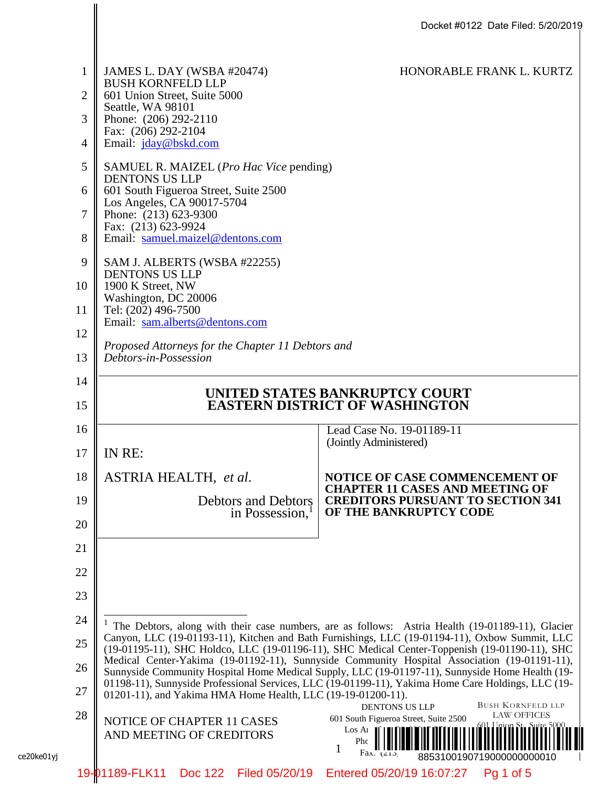|            |              |                                                                            | Docket #0122 Date Filed: 5/20/2019                                                                                                                                                              |
|------------|--------------|----------------------------------------------------------------------------|-------------------------------------------------------------------------------------------------------------------------------------------------------------------------------------------------|
|            | $\mathbf{1}$ | JAMES L. DAY (WSBA #20474)                                                 | HONORABLE FRANK L. KURTZ                                                                                                                                                                        |
|            | 2            | <b>BUSH KORNFELD LLP</b><br>601 Union Street, Suite 5000                   |                                                                                                                                                                                                 |
|            | 3            | Seattle, WA 98101<br>Phone: (206) 292-2110                                 |                                                                                                                                                                                                 |
|            | 4            | Fax: (206) 292-2104<br>Email: jday@bskd.com                                |                                                                                                                                                                                                 |
|            | 5            | SAMUEL R. MAIZEL (Pro Hac Vice pending)                                    |                                                                                                                                                                                                 |
|            | 6            | <b>DENTONS US LLP</b><br>601 South Figueroa Street, Suite 2500             |                                                                                                                                                                                                 |
|            | 7            | Los Angeles, CA 90017-5704<br>Phone: (213) 623-9300                        |                                                                                                                                                                                                 |
|            | 8            | Fax: (213) 623-9924<br>Email: samuel.maizel@dentons.com                    |                                                                                                                                                                                                 |
|            | 9            | SAM J. ALBERTS (WSBA #22255)                                               |                                                                                                                                                                                                 |
|            | 10           | <b>DENTONS US LLP</b><br>1900 K Street, NW                                 |                                                                                                                                                                                                 |
|            | 11           | Washington, DC 20006<br>Tel: (202) 496-7500                                |                                                                                                                                                                                                 |
|            | 12           | Email: sam.alberts@dentons.com                                             |                                                                                                                                                                                                 |
|            | 13           | Proposed Attorneys for the Chapter 11 Debtors and<br>Debtors-in-Possession |                                                                                                                                                                                                 |
|            | 14           |                                                                            |                                                                                                                                                                                                 |
|            | 15           | UNITED STATES BANKRUPTCY COURT<br><b>EASTERN DISTRICT OF WASHINGTON</b>    |                                                                                                                                                                                                 |
|            | 16           |                                                                            | Lead Case No. 19-01189-11                                                                                                                                                                       |
|            | 17           | IN RE:                                                                     | (Jointly Administered)                                                                                                                                                                          |
|            | 18           | <b>ASTRIA HEALTH, et al.</b>                                               | <b>NOTICE OF CASE COMMENCEMENT OF</b><br><b>CHAPTER 11 CASES AND MEETING OF</b>                                                                                                                 |
|            | 19           | <b>Debtors and Debtors</b><br>in Possession, <sup>1</sup>                  | <b>CREDITORS PURSUANT TO SECTION 341</b><br>OF THE BANKRUPTCY CODE                                                                                                                              |
|            | 20           |                                                                            |                                                                                                                                                                                                 |
|            | 21           |                                                                            |                                                                                                                                                                                                 |
|            | 22           |                                                                            |                                                                                                                                                                                                 |
|            | 23           |                                                                            |                                                                                                                                                                                                 |
|            | 24           |                                                                            | <sup>1</sup> The Debtors, along with their case numbers, are as follows: Astria Health (19-01189-11), Glacier                                                                                   |
|            | 25           |                                                                            | Canyon, LLC (19-01193-11), Kitchen and Bath Furnishings, LLC (19-01194-11), Oxbow Summit, LLC<br>(19-01195-11), SHC Holdco, LLC (19-01196-11), SHC Medical Center-Toppenish (19-01190-11), SHC  |
|            | 26           |                                                                            | Medical Center-Yakima (19-01192-11), Sunnyside Community Hospital Association (19-01191-11),<br>Sunnyside Community Hospital Home Medical Supply, LLC (19-01197-11), Sunnyside Home Health (19- |
|            | 27           | 01201-11), and Yakima HMA Home Health, LLC (19-19-01200-11).               | 01198-11), Sunnyside Professional Services, LLC (19-01199-11), Yakima Home Care Holdings, LLC (19-                                                                                              |
|            | 28           | NOTICE OF CHAPTER 11 CASES                                                 | <b>BUSH KORNFELD LLP</b><br>DENTONS US LLP<br><b>LAW OFFICES</b><br>601 South Figueroa Street, Suite 2500                                                                                       |
|            |              | AND MEETING OF CREDITORS                                                   | i(11 Loion St., Sirte, 50<br>Los Ai<br>Phc                                                                                                                                                      |
| ce20ke01yj |              |                                                                            | 1<br>Fax: $(215)$<br>8853100190719000000000010                                                                                                                                                  |
|            |              | 19-01189-FLK11 Doc 122 Filed 05/20/19                                      | Entered 05/20/19 16:07:27<br>$Pq 1$ of 5                                                                                                                                                        |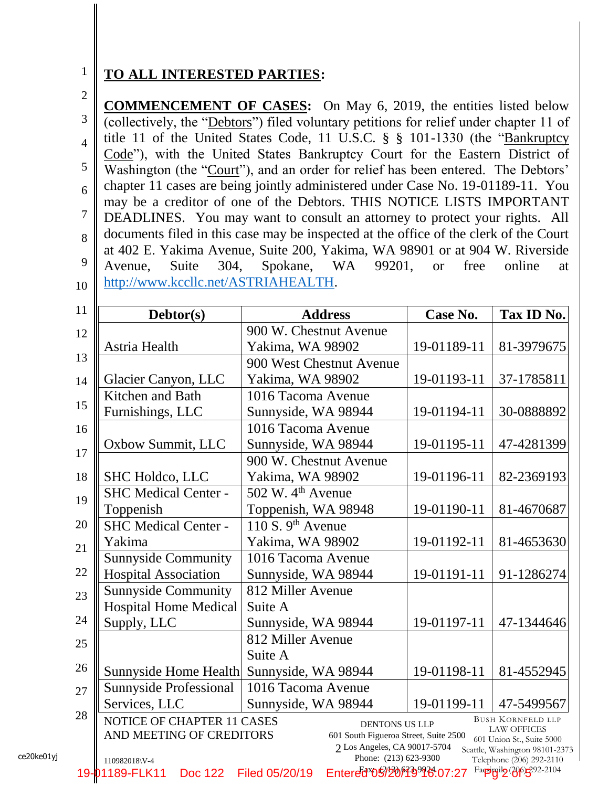## **TO ALL INTERESTED PARTIES:**

2

3

4

5

6

7

8

9

10

1

**COMMENCEMENT OF CASES:** On May 6, 2019, the entities listed below (collectively, the "Debtors") filed voluntary petitions for relief under chapter 11 of title 11 of the United States Code, 11 U.S.C. § § 101-1330 (the "Bankruptcy Code"), with the United States Bankruptcy Court for the Eastern District of Washington (the "Court"), and an order for relief has been entered. The Debtors' chapter 11 cases are being jointly administered under Case No. 19-01189-11. You may be a creditor of one of the Debtors. THIS NOTICE LISTS IMPORTANT DEADLINES. You may want to consult an attorney to protect your rights. All documents filed in this case may be inspected at the office of the clerk of the Court at 402 E. Yakima Avenue, Suite 200, Yakima, WA 98901 or at 904 W. Riverside Avenue, Suite 304, Spokane, WA 99201, or free online at [http://www.kccllc.net/ASTRIAHEALTH.](http://www.kccllc.net/ASTRIAHEALTH)

| Debtor(s)                                              | <b>Address</b>                                                                                 | Case No.    | Tax ID No.                                                                  |
|--------------------------------------------------------|------------------------------------------------------------------------------------------------|-------------|-----------------------------------------------------------------------------|
|                                                        | 900 W. Chestnut Avenue                                                                         |             |                                                                             |
| Astria Health                                          | Yakima, WA 98902                                                                               | 19-01189-11 | 81-3979675                                                                  |
|                                                        | 900 West Chestnut Avenue                                                                       |             |                                                                             |
| Glacier Canyon, LLC                                    | Yakima, WA 98902                                                                               | 19-01193-11 | 37-1785811                                                                  |
| Kitchen and Bath                                       | 1016 Tacoma Avenue                                                                             |             |                                                                             |
| Furnishings, LLC                                       | Sunnyside, WA 98944                                                                            | 19-01194-11 | 30-0888892                                                                  |
|                                                        | 1016 Tacoma Avenue                                                                             |             |                                                                             |
| Oxbow Summit, LLC                                      | Sunnyside, WA 98944                                                                            | 19-01195-11 | 47-4281399                                                                  |
|                                                        | 900 W. Chestnut Avenue                                                                         |             |                                                                             |
| <b>SHC Holdco, LLC</b>                                 | Yakima, WA 98902                                                                               | 19-01196-11 | 82-2369193                                                                  |
| <b>SHC Medical Center -</b>                            | 502 W. 4 <sup>th</sup> Avenue                                                                  |             |                                                                             |
| Toppenish                                              | Toppenish, WA 98948                                                                            | 19-01190-11 | 81-4670687                                                                  |
| <b>SHC Medical Center -</b>                            | 110 S. $9th$ Avenue                                                                            |             |                                                                             |
| Yakima                                                 | Yakima, WA 98902                                                                               | 19-01192-11 | 81-4653630                                                                  |
| <b>Sunnyside Community</b>                             | 1016 Tacoma Avenue                                                                             |             |                                                                             |
| <b>Hospital Association</b>                            | Sunnyside, WA 98944                                                                            | 19-01191-11 | 91-1286274                                                                  |
| <b>Sunnyside Community</b>                             | 812 Miller Avenue                                                                              |             |                                                                             |
| <b>Hospital Home Medical</b>                           | Suite A                                                                                        |             |                                                                             |
| Supply, LLC                                            | Sunnyside, WA 98944                                                                            | 19-01197-11 | 47-1344646                                                                  |
|                                                        | 812 Miller Avenue                                                                              |             |                                                                             |
|                                                        | Suite A                                                                                        |             |                                                                             |
| Sunnyside Home Health                                  | Sunnyside, WA 98944                                                                            | 19-01198-11 | 81-4552945                                                                  |
| <b>Sunnyside Professional</b>                          | 1016 Tacoma Avenue                                                                             |             |                                                                             |
| Services, LLC                                          | Sunnyside, WA 98944                                                                            | 19-01199-11 | 47-5499567                                                                  |
| NOTICE OF CHAPTER 11 CASES<br>AND MEETING OF CREDITORS | <b>DENTONS US LLP</b><br>601 South Figueroa Street, Suite 2500<br>2 Los Angeles, CA 90017-5704 |             | <b>BUSH KORNFELD LLP</b><br><b>LAW OFFICES</b><br>601 Union St., Suite 5000 |
| 110982018\V-4                                          | Phone: (213) 623-9300                                                                          |             | Seattle, Washington 98101-2373<br>Telephone (206) 292-2110                  |
| 19-01189-FLK11<br><b>Doc 122</b>                       | Entered <sup>8</sup> 05920149928.07:27<br>Filed 05/20/19                                       |             | Fappily (2005-202-2104                                                      |

ce20ke01yj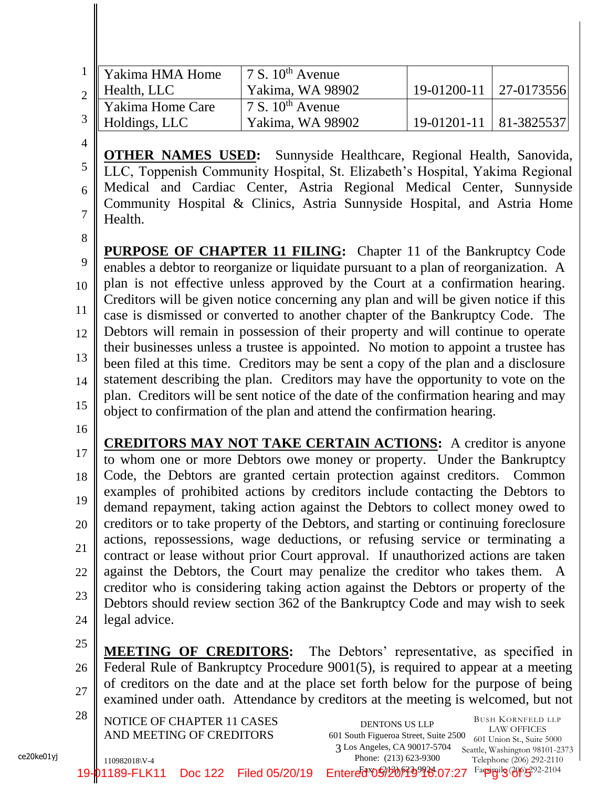|                | Yakima HMA Home                   | 7 S. $10^{th}$ Avenue                                                        |             |            |
|----------------|-----------------------------------|------------------------------------------------------------------------------|-------------|------------|
|                | Health, LLC                       | Yakima, WA 98902                                                             | 19-01200-11 | 27-0173556 |
|                | Yakima Home Care<br>Holdings, LLC | 7 S. $10^{th}$ Avenue                                                        |             |            |
|                |                                   | Yakima, WA 98902                                                             | 19-01201-11 | 81-3825537 |
| $\overline{A}$ |                                   |                                                                              |             |            |
|                |                                   | <b>OTHER NAMES USED:</b> Sunnyside Healthcare, Regional Health, Sanovida,    |             |            |
|                |                                   | LLC, Toppenish Community Hospital, St. Elizabeth's Hospital, Yakima Regional |             |            |
|                |                                   | Medical and Cardiac Center, Astria Regional Medical Center, Sunnyside        |             |            |
|                |                                   | Community Hospital & Clinics, Astria Sunnyside Hospital, and Astria Home     |             |            |
|                | Health.                           |                                                                              |             |            |

8

9 10 11 12 13 14 15 **PURPOSE OF CHAPTER 11 FILING:** Chapter 11 of the Bankruptcy Code enables a debtor to reorganize or liquidate pursuant to a plan of reorganization. A plan is not effective unless approved by the Court at a confirmation hearing. Creditors will be given notice concerning any plan and will be given notice if this case is dismissed or converted to another chapter of the Bankruptcy Code. The Debtors will remain in possession of their property and will continue to operate their businesses unless a trustee is appointed. No motion to appoint a trustee has been filed at this time. Creditors may be sent a copy of the plan and a disclosure statement describing the plan. Creditors may have the opportunity to vote on the plan. Creditors will be sent notice of the date of the confirmation hearing and may object to confirmation of the plan and attend the confirmation hearing.

16

ce20ke01yj

17 18 19 20 21 22 23 24 **CREDITORS MAY NOT TAKE CERTAIN ACTIONS:** A creditor is anyone to whom one or more Debtors owe money or property. Under the Bankruptcy Code, the Debtors are granted certain protection against creditors. Common examples of prohibited actions by creditors include contacting the Debtors to demand repayment, taking action against the Debtors to collect money owed to creditors or to take property of the Debtors, and starting or continuing foreclosure actions, repossessions, wage deductions, or refusing service or terminating a contract or lease without prior Court approval. If unauthorized actions are taken against the Debtors, the Court may penalize the creditor who takes them. A creditor who is considering taking action against the Debtors or property of the Debtors should review section 362 of the Bankruptcy Code and may wish to seek legal advice.

- 25 26 27 **MEETING OF CREDITORS:** The Debtors' representative, as specified in Federal Rule of Bankruptcy Procedure 9001(5), is required to appear at a meeting of creditors on the date and at the place set forth below for the purpose of being examined under oath. Attendance by creditors at the meeting is welcomed, but not
- 110982018\V-4  $28 \parallel$  NOTICE OF CHAPTER 11 CASES DENTONS US LLP AND MEETING OF CREDITORS 3 Los Angeles, CA 90017-5704 LAW OFFICES 601 Union St., Suite 5000 Seattle, Washington 98101-2373 Telephone (206) 292-2110 Fappilg (206) 292-2104 DENTONS US LLP 601 South Figueroa Street, Suite 2500 Phone: (213) 623-9300 Entered\*059201499936.07:27 19-01189-FLK11 Doc 122 Filed 05/20/19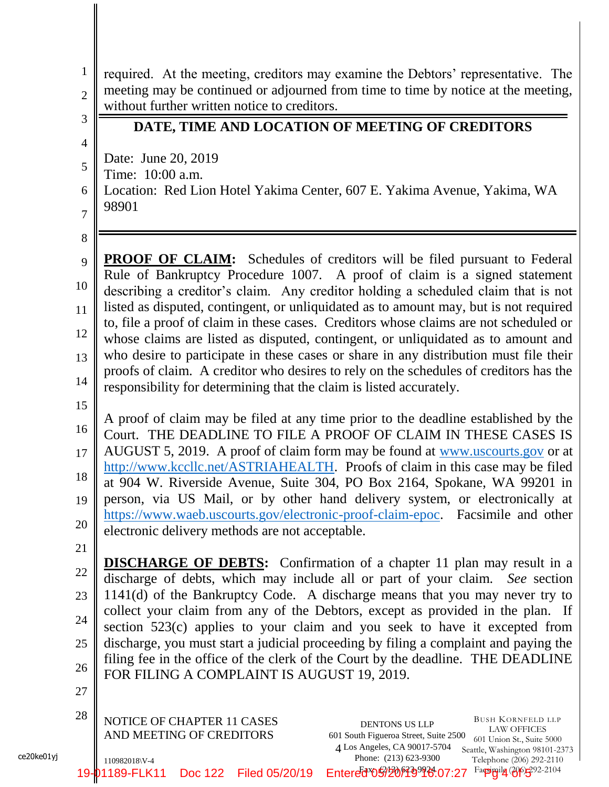| $\mathbf{1}$<br>$\overline{2}$<br>3        | required. At the meeting, creditors may examine the Debtors' representative. The<br>meeting may be continued or adjourned from time to time by notice at the meeting,<br>without further written notice to creditors.<br>DATE, TIME AND LOCATION OF MEETING OF CREDITORS                                                                                                                                                                                                                                                                                                                                                                                                                                                                                                          |
|--------------------------------------------|-----------------------------------------------------------------------------------------------------------------------------------------------------------------------------------------------------------------------------------------------------------------------------------------------------------------------------------------------------------------------------------------------------------------------------------------------------------------------------------------------------------------------------------------------------------------------------------------------------------------------------------------------------------------------------------------------------------------------------------------------------------------------------------|
| $\overline{4}$<br>5<br>6<br>$\overline{7}$ | Date: June 20, 2019<br>Time: 10:00 a.m.<br>Location: Red Lion Hotel Yakima Center, 607 E. Yakima Avenue, Yakima, WA<br>98901                                                                                                                                                                                                                                                                                                                                                                                                                                                                                                                                                                                                                                                      |
| 8<br>9<br>10<br>11<br>12<br>13<br>14       | <b>PROOF OF CLAIM:</b> Schedules of creditors will be filed pursuant to Federal<br>Rule of Bankruptcy Procedure 1007. A proof of claim is a signed statement<br>describing a creditor's claim. Any creditor holding a scheduled claim that is not<br>listed as disputed, contingent, or unliquidated as to amount may, but is not required<br>to, file a proof of claim in these cases. Creditors whose claims are not scheduled or<br>whose claims are listed as disputed, contingent, or unliquidated as to amount and<br>who desire to participate in these cases or share in any distribution must file their<br>proofs of claim. A creditor who desires to rely on the schedules of creditors has the<br>responsibility for determining that the claim is listed accurately. |
| 15<br>16<br>17<br>18<br>19<br>20           | A proof of claim may be filed at any time prior to the deadline established by the<br>Court. THE DEADLINE TO FILE A PROOF OF CLAIM IN THESE CASES IS<br>AUGUST 5, 2019. A proof of claim form may be found at www.uscourts.gov or at<br>http://www.kccllc.net/ASTRIAHEALTH. Proofs of claim in this case may be filed<br>at 904 W. Riverside Avenue, Suite 304, PO Box 2164, Spokane, WA 99201 in<br>person, via US Mail, or by other hand delivery system, or electronically at<br>https://www.waeb.uscourts.gov/electronic-proof-claim-epoc. Facsimile and other<br>electronic delivery methods are not acceptable.                                                                                                                                                             |
| 21<br>22<br>23<br>24<br>25<br>26<br>27     | <b>DISCHARGE OF DEBTS:</b> Confirmation of a chapter 11 plan may result in a<br>discharge of debts, which may include all or part of your claim. See section<br>1141(d) of the Bankruptcy Code. A discharge means that you may never try to<br>collect your claim from any of the Debtors, except as provided in the plan. If<br>section 523(c) applies to your claim and you seek to have it excepted from<br>discharge, you must start a judicial proceeding by filing a complaint and paying the<br>filing fee in the office of the clerk of the Court by the deadline. THE DEADLINE<br>FOR FILING A COMPLAINT IS AUGUST 19, 2019.                                                                                                                                             |
| 28                                         | NOTICE OF CHAPTER 11 CASES<br><b>BUSH KORNFELD LLP</b><br>DENTONS US LLP<br><b>LAW OFFICES</b><br>AND MEETING OF CREDITORS<br>601 South Figueroa Street, Suite 2500<br>601 Union St., Suite 5000<br>4 Los Angeles, CA 90017-5704<br>Seattle, Washington 98101-2373<br>Phone: (213) 623-9300<br>Telephone (206) 292-2110<br>110982018\V-4<br>Faculty 2010-202-2104<br>Entered*05920149918.07:27<br>19-01189-FLK11<br><b>Doc 122</b><br>Filed 05/20/19                                                                                                                                                                                                                                                                                                                              |

ce20ke01yj